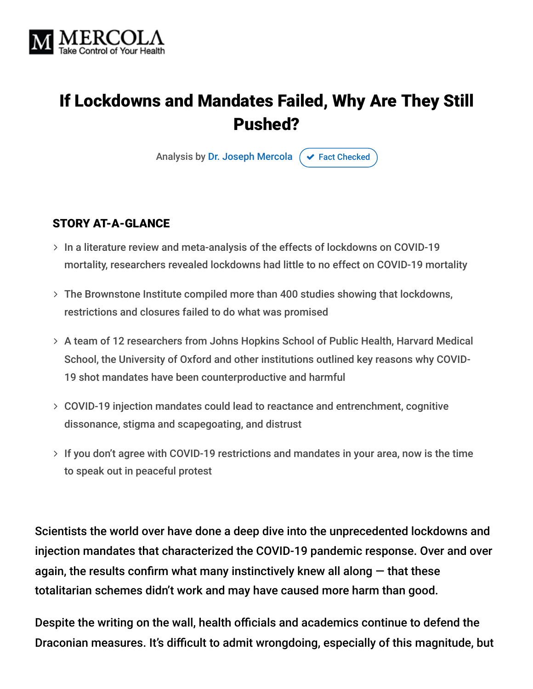

# If Lockdowns and Mandates Failed, Why Are They Still Pushed?

Analysis by [Dr. Joseph Mercola](https://www.mercola.com/forms/background.htm)  $\sigma$  [Fact Checked](javascript:void(0))

#### STORY AT-A-GLANCE

- $>$  In a literature review and meta-analysis of the effects of lockdowns on COVID-19 mortality, researchers revealed lockdowns had little to no effect on COVID-19 mortality
- The Brownstone Institute compiled more than 400 studies showing that lockdowns, restrictions and closures failed to do what was promised
- A team of 12 researchers from Johns Hopkins School of Public Health, Harvard Medical School, the University of Oxford and other institutions outlined key reasons why COVID-19 shot mandates have been counterproductive and harmful
- COVID-19 injection mandates could lead to reactance and entrenchment, cognitive dissonance, stigma and scapegoating, and distrust
- $>$  If you don't agree with COVID-19 restrictions and mandates in your area, now is the time to speak out in peaceful protest

Scientists the world over have done a deep dive into the unprecedented lockdowns and injection mandates that characterized the COVID-19 pandemic response. Over and over again, the results confirm what many instinctively knew all along  $-$  that these totalitarian schemes didn't work and may have caused more harm than good.

Despite the writing on the wall, health officials and academics continue to defend the Draconian measures. It's difficult to admit wrongdoing, especially of this magnitude, but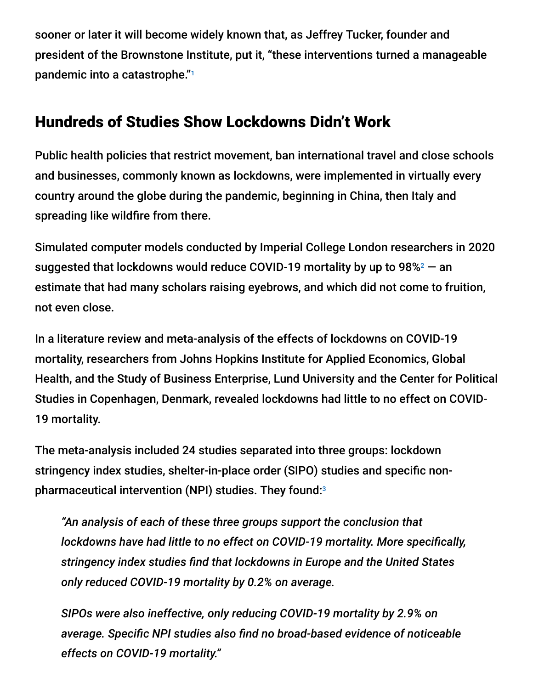sooner or later it will become widely known that, as Jeffrey Tucker, founder and president of the Brownstone Institute, put it, "these interventions turned a manageable pandemic into a catastrophe." 1

## Hundreds of Studies Show Lockdowns Didn't Work

Public health policies that restrict movement, ban international travel and close schools and businesses, commonly known as lockdowns, were implemented in virtually every country around the globe during the pandemic, beginning in China, then Italy and spreading like wildfire from there.

Simulated computer models conducted by Imperial College London researchers in 2020 suggested that lockdowns would reduce COVID-19 mortality by up to 98% $^2$   $-$  an estimate that had many scholars raising eyebrows, and which did not come to fruition, not even close.

In a literature review and meta-analysis of the effects of lockdowns on COVID-19 mortality, researchers from Johns Hopkins Institute for Applied Economics, Global Health, and the Study of Business Enterprise, Lund University and the Center for Political Studies in Copenhagen, Denmark, revealed lockdowns had little to no effect on COVID-19 mortality.

The meta-analysis included 24 studies separated into three groups: lockdown stringency index studies, shelter-in-place order (SIPO) studies and specific nonpharmaceutical intervention (NPI) studies. They found: 3

*"An analysis of each of these three groups support the conclusion that lockdowns have had little to no effect on COVID-19 mortality. More specifically, stringency index studies find that lockdowns in Europe and the United States only reduced COVID-19 mortality by 0.2% on average.*

*SIPOs were also ineffective, only reducing COVID-19 mortality by 2.9% on average. Specific NPI studies also find no broad-based evidence of noticeable effects on COVID-19 mortality."*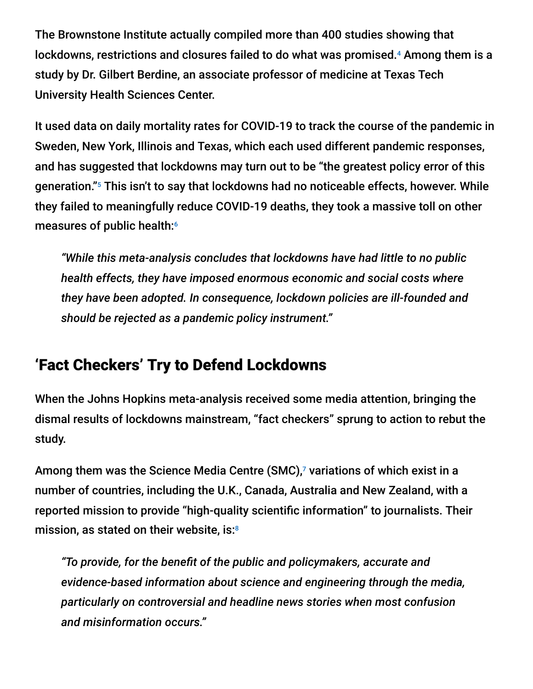The Brownstone Institute actually compiled more than 400 studies showing that lockdowns, restrictions and closures failed to do what was promised. $4$  Among them is a study by Dr. Gilbert Berdine, an associate professor of medicine at Texas Tech University Health Sciences Center.

It used data on daily mortality rates for COVID-19 to track the course of the pandemic in Sweden, New York, Illinois and Texas, which each used different pandemic responses, and has suggested that lockdowns may turn out to be "the greatest policy error of this generation."<sup>5</sup> This isn't to say that lockdowns had no noticeable effects, however. While they failed to meaningfully reduce COVID-19 deaths, they took a massive toll on other measures of public health: 6

*"While this meta-analysis concludes that lockdowns have had little to no public health effects, they have imposed enormous economic and social costs where they have been adopted. In consequence, lockdown policies are ill-founded and should be rejected as a pandemic policy instrument."*

## 'Fact Checkers' Try to Defend Lockdowns

When the Johns Hopkins meta-analysis received some media attention, bringing the dismal results of lockdowns mainstream, "fact checkers" sprung to action to rebut the study.

Among them was the Science Media Centre (SMC), $^7$  variations of which exist in a number of countries, including the U.K., Canada, Australia and New Zealand, with a reported mission to provide "high-quality scientific information" to journalists. Their mission, as stated on their website, is: 8

*"To provide, for the benefit of the public and policymakers, accurate and evidence-based information about science and engineering through the media, particularly on controversial and headline news stories when most confusion and misinformation occurs."*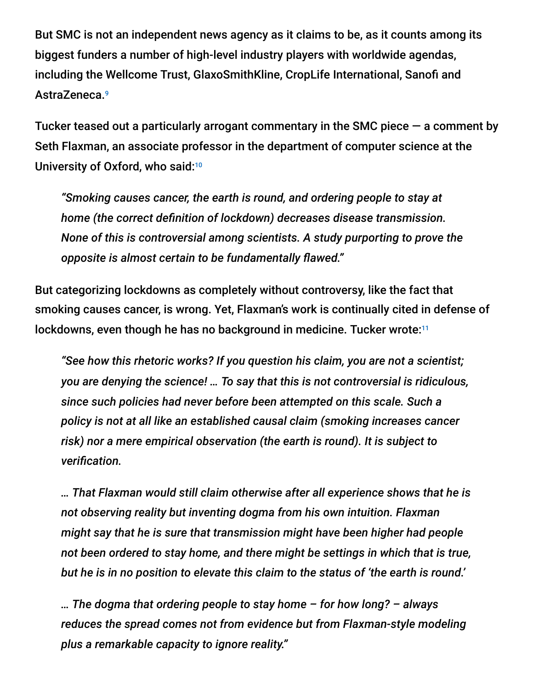But SMC is not an independent news agency as it claims to be, as it counts among its biggest funders a number of high-level industry players with worldwide agendas, including the Wellcome Trust, GlaxoSmithKline, CropLife International, Sanofi and AstraZeneca. 9

Tucker teased out a particularly arrogant commentary in the SMC piece  $-$  a comment by Seth Flaxman, an associate professor in the department of computer science at the University of Oxford, who said:<sup>10</sup>

*"Smoking causes cancer, the earth is round, and ordering people to stay at home (the correct definition of lockdown) decreases disease transmission. None of this is controversial among scientists. A study purporting to prove the opposite is almost certain to be fundamentally flawed."*

But categorizing lockdowns as completely without controversy, like the fact that smoking causes cancer, is wrong. Yet, Flaxman's work is continually cited in defense of lockdowns, even though he has no background in medicine. Tucker wrote:<sup>11</sup>

*"See how this rhetoric works? If you question his claim, you are not a scientist; you are denying the science! … To say that this is not controversial is ridiculous, since such policies had never before been attempted on this scale. Such a policy is not at all like an established causal claim (smoking increases cancer risk) nor a mere empirical observation (the earth is round). It is subject to verification.*

*… That Flaxman would still claim otherwise after all experience shows that he is not observing reality but inventing dogma from his own intuition. Flaxman might say that he is sure that transmission might have been higher had people not been ordered to stay home, and there might be settings in which that is true, but he is in no position to elevate this claim to the status of 'the earth is round.'*

*… The dogma that ordering people to stay home – for how long? – always reduces the spread comes not from evidence but from Flaxman-style modeling plus a remarkable capacity to ignore reality."*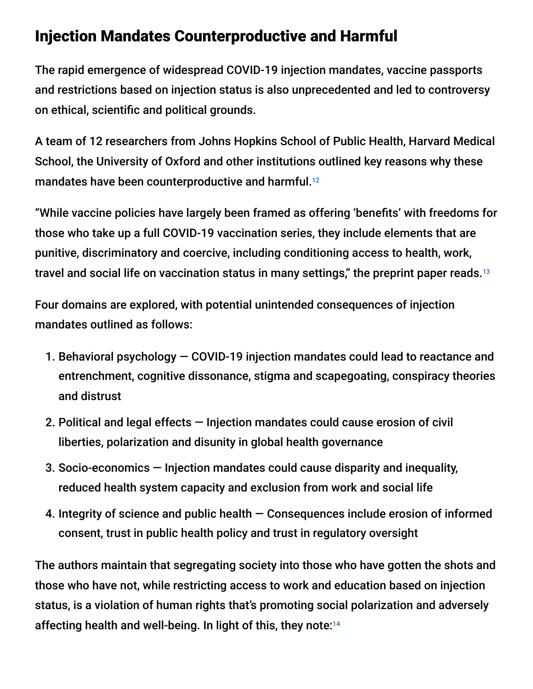## Injection Mandates Counterproductive and Harmful

The rapid emergence of widespread COVID-19 injection mandates, vaccine passports and restrictions based on injection status is also unprecedented and led to controversy on ethical, scientific and political grounds.

A team of 12 researchers from Johns Hopkins School of Public Health, Harvard Medical School, the University of Oxford and other institutions outlined key reasons why these mandates have been counterproductive and harmful. 12

"While vaccine policies have largely been framed as offering 'benefits' with freedoms for those who take up a full COVID-19 vaccination series, they include elements that are punitive, discriminatory and coercive, including conditioning access to health, work, travel and social life on vaccination status in many settings," the preprint paper reads. 13

Four domains are explored, with potential unintended consequences of injection mandates outlined as follows:

- 1. Behavioral psychology COVID-19 injection mandates could lead to reactance and entrenchment, cognitive dissonance, stigma and scapegoating, conspiracy theories and distrust
- 2. Political and legal effects Injection mandates could cause erosion of civil liberties, polarization and disunity in global health governance
- 3. Socio-economics Injection mandates could cause disparity and inequality, reduced health system capacity and exclusion from work and social life
- 4. Integrity of science and public health Consequences include erosion of informed consent, trust in public health policy and trust in regulatory oversight

The authors maintain that segregating society into those who have gotten the shots and those who have not, while restricting access to work and education based on injection status, is a violation of human rights that's promoting social polarization and adversely affecting health and well-being. In light of this, they note: 14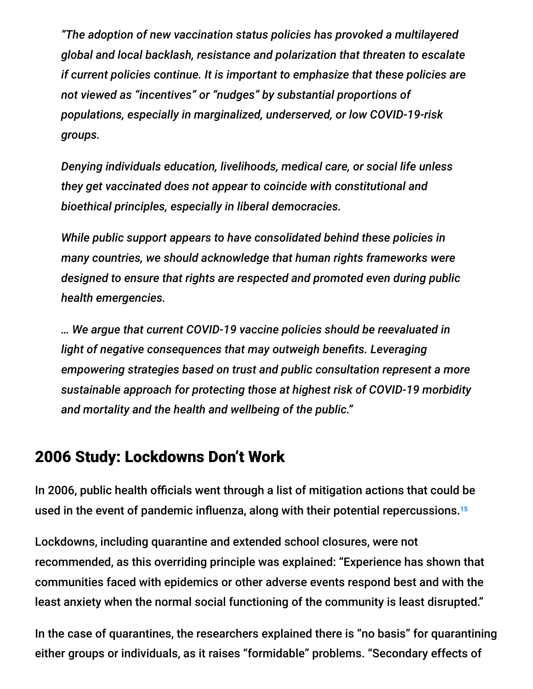*"The adoption of new vaccination status policies has provoked a multilayered global and local backlash, resistance and polarization that threaten to escalate if current policies continue. It is important to emphasize that these policies are not viewed as "incentives" or "nudges" by substantial proportions of populations, especially in marginalized, underserved, or low COVID-19-risk groups.*

*Denying individuals education, livelihoods, medical care, or social life unless they get vaccinated does not appear to coincide with constitutional and bioethical principles, especially in liberal democracies.*

*While public support appears to have consolidated behind these policies in many countries, we should acknowledge that human rights frameworks were designed to ensure that rights are respected and promoted even during public health emergencies.*

*… We argue that current COVID-19 vaccine policies should be reevaluated in light of negative consequences that may outweigh benefits. Leveraging empowering strategies based on trust and public consultation represent a more sustainable approach for protecting those at highest risk of COVID-19 morbidity and mortality and the health and wellbeing of the public."*

#### 2006 Study: Lockdowns Don't Work

In 2006, public health officials went through a list of mitigation actions that could be used in the event of pandemic influenza, along with their potential repercussions. 15

Lockdowns, including quarantine and extended school closures, were not recommended, as this overriding principle was explained: "Experience has shown that communities faced with epidemics or other adverse events respond best and with the least anxiety when the normal social functioning of the community is least disrupted."

In the case of quarantines, the researchers explained there is "no basis" for quarantining either groups or individuals, as it raises "formidable" problems. "Secondary effects of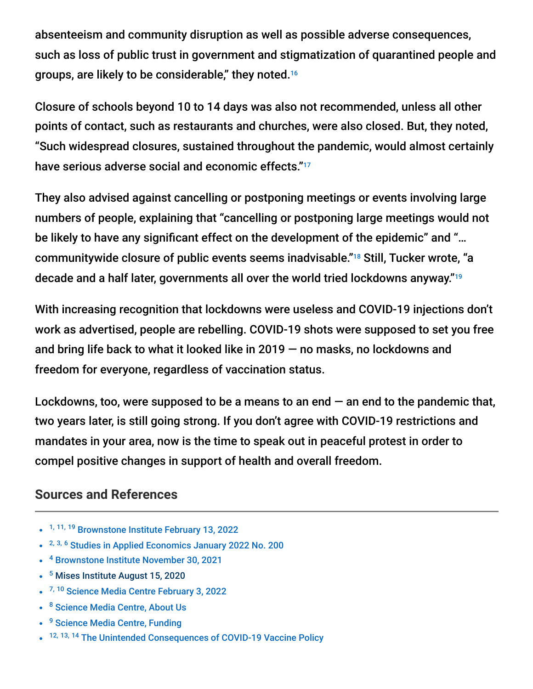absenteeism and community disruption as well as possible adverse consequences, such as loss of public trust in government and stigmatization of quarantined people and groups, are likely to be considerable," they noted. 16

Closure of schools beyond 10 to 14 days was also not recommended, unless all other points of contact, such as restaurants and churches, were also closed. But, they noted, "Such widespread closures, sustained throughout the pandemic, would almost certainly have serious adverse social and economic effects." 17

They also advised against cancelling or postponing meetings or events involving large numbers of people, explaining that "cancelling or postponing large meetings would not be likely to have any significant effect on the development of the epidemic" and "... communitywide closure of public events seems inadvisable."<sup>18</sup> Still, Tucker wrote, "a decade and a half later, governments all over the world tried lockdowns anyway." 19

With increasing recognition that lockdowns were useless and COVID-19 injections don't work as advertised, people are rebelling. COVID-19 shots were supposed to set you free and bring life back to what it looked like in 2019 — no masks, no lockdowns and freedom for everyone, regardless of vaccination status.

Lockdowns, too, were supposed to be a means to an end  $-$  an end to the pandemic that, two years later, is still going strong. If you don't agree with COVID-19 restrictions and mandates in your area, now is the time to speak out in peaceful protest in order to compel positive changes in support of health and overall freedom.

#### **Sources and References**

- <sup>1, 11, 19</sup> [Brownstone Institute February 13, 2022](https://brownstone.org/articles/they-are-still-defending-lockdowns/)
- <sup>2, 3, 6</sup> [Studies in Applied Economics January 2022 No. 200](https://sites.krieger.jhu.edu/iae/files/2022/01/A-Literature-Review-and-Meta-Analysis-of-the-Effects-of-Lockdowns-on-COVID-19-Mortality.pdf)
- <sup>4</sup> [Brownstone Institute November 30, 2021](https://brownstone.org/articles/more-than-400-studies-on-the-failure-of-compulsory-covid-interventions/)
- <sup>5</sup> [Mises Institute August 15, 2020](https://mises.org/wire/why-americans-should-adopt-sweden-model-covid-19)
- <sup>7, 10</sup> [Science Media Centre February 3, 2022](https://www.sciencemediacentre.org/expert-reaction-to-a-preprint-looking-at-the-impact-of-lockdowns-as-posted-on-the-john-hopkins-krieger-school-of-arts-and-sciences-website/)
- <sup>8</sup> [Science Media Centre, About Us](https://www.sciencemediacentre.org/about-us/)
- <sup>9</sup> [Science Media Centre, Funding](https://www.sciencemediacentre.org/about-us/funding/)
- 12, 13, 14 [The Unintended Consequences of COVID-19 Vaccine Policy](https://deliverypdf.ssrn.com/delivery.php?ID=6961170210290820811161150990951170920030220590770100671231220741260810810180880021240550450590030550450421231130110230101191090610520890870800130930950020310030291060310260430961141000171081001021180890020)